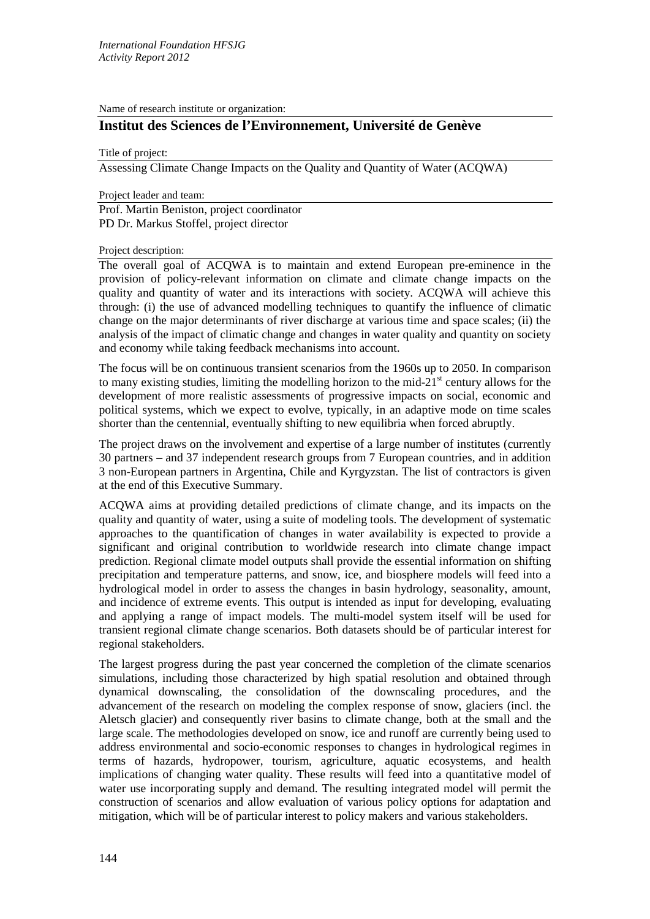Name of research institute or organization:

## **Institut des Sciences de l'Environnement, Université de Genève**

Title of project:

Assessing Climate Change Impacts on the Quality and Quantity of Water (ACQWA)

Project leader and team:

Prof. Martin Beniston, project coordinator PD Dr. Markus Stoffel, project director

## Project description:

The overall goal of ACQWA is to maintain and extend European pre-eminence in the provision of policy-relevant information on climate and climate change impacts on the quality and quantity of water and its interactions with society. ACQWA will achieve this through: (i) the use of advanced modelling techniques to quantify the influence of climatic change on the major determinants of river discharge at various time and space scales; (ii) the analysis of the impact of climatic change and changes in water quality and quantity on society and economy while taking feedback mechanisms into account.

The focus will be on continuous transient scenarios from the 1960s up to 2050. In comparison to many existing studies, limiting the modelling horizon to the mid- $21<sup>st</sup>$  century allows for the development of more realistic assessments of progressive impacts on social, economic and political systems, which we expect to evolve, typically, in an adaptive mode on time scales shorter than the centennial, eventually shifting to new equilibria when forced abruptly.

The project draws on the involvement and expertise of a large number of institutes (currently 30 partners – and 37 independent research groups from 7 European countries, and in addition 3 non-European partners in Argentina, Chile and Kyrgyzstan. The list of contractors is given at the end of this Executive Summary.

ACQWA aims at providing detailed predictions of climate change, and its impacts on the quality and quantity of water, using a suite of modeling tools. The development of systematic approaches to the quantification of changes in water availability is expected to provide a significant and original contribution to worldwide research into climate change impact prediction. Regional climate model outputs shall provide the essential information on shifting precipitation and temperature patterns, and snow, ice, and biosphere models will feed into a hydrological model in order to assess the changes in basin hydrology, seasonality, amount, and incidence of extreme events. This output is intended as input for developing, evaluating and applying a range of impact models. The multi-model system itself will be used for transient regional climate change scenarios. Both datasets should be of particular interest for regional stakeholders.

The largest progress during the past year concerned the completion of the climate scenarios simulations, including those characterized by high spatial resolution and obtained through dynamical downscaling, the consolidation of the downscaling procedures, and the advancement of the research on modeling the complex response of snow, glaciers (incl. the Aletsch glacier) and consequently river basins to climate change, both at the small and the large scale. The methodologies developed on snow, ice and runoff are currently being used to address environmental and socio-economic responses to changes in hydrological regimes in terms of hazards, hydropower, tourism, agriculture, aquatic ecosystems, and health implications of changing water quality. These results will feed into a quantitative model of water use incorporating supply and demand. The resulting integrated model will permit the construction of scenarios and allow evaluation of various policy options for adaptation and mitigation, which will be of particular interest to policy makers and various stakeholders.